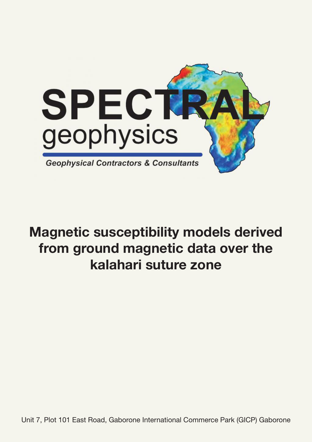

# Magnetic susceptibility models derived from ground magnetic data over the kalahari suture zone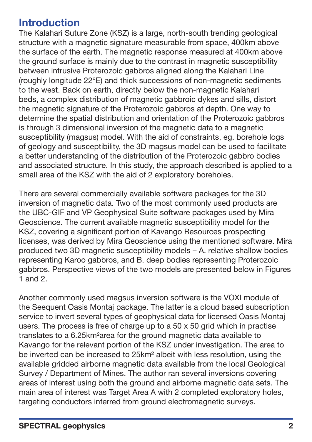# Introduction

The Kalahari Suture Zone (KSZ) is a large, north-south trending geological structure with a magnetic signature measurable from space, 400km above the surface of the earth. The magnetic response measured at 400km above the ground surface is mainly due to the contrast in magnetic susceptibility between intrusive Proterozoic gabbros aligned along the Kalahari Line (roughly longitude 22°E) and thick successions of non-magnetic sediments to the west. Back on earth, directly below the non-magnetic Kalahari beds, a complex distribution of magnetic gabbroic dykes and sills, distort the magnetic signature of the Proterozoic gabbros at depth. One way to determine the spatial distribution and orientation of the Proterozoic gabbros is through 3 dimensional inversion of the magnetic data to a magnetic susceptibility (magsus) model. With the aid of constraints, eg. borehole logs of geology and susceptibility, the 3D magsus model can be used to facilitate a better understanding of the distribution of the Proterozoic gabbro bodies and associated structure. In this study, the approach described is applied to a small area of the KSZ with the aid of 2 exploratory boreholes.

There are several commercially available software packages for the 3D inversion of magnetic data. Two of the most commonly used products are the UBC-GIF and VP Geophysical Suite software packages used by Mira Geoscience. The current available magnetic susceptibility model for the KSZ, covering a significant portion of Kavango Resources prospecting licenses, was derived by Mira Geoscience using the mentioned software. Mira produced two 3D magnetic susceptibility models – A. relative shallow bodies representing Karoo gabbros, and B. deep bodies representing Proterozoic gabbros. Perspective views of the two models are presented below in Figures 1 and 2.

Another commonly used magsus inversion software is the VOXI module of the Seequent Oasis Montaj package. The latter is a cloud based subscription service to invert several types of geophysical data for licensed Oasis Montaj users. The process is free of charge up to a 50 x 50 grid which in practise translates to a 6.25km²area for the ground magnetic data available to Kavango for the relevant portion of the KSZ under investigation. The area to be inverted can be increased to 25km² albeit with less resolution, using the available gridded airborne magnetic data available from the local Geological Survey / Department of Mines. The author ran several inversions covering areas of interest using both the ground and airborne magnetic data sets. The main area of interest was Target Area A with 2 completed exploratory holes, targeting conductors inferred from ground electromagnetic surveys.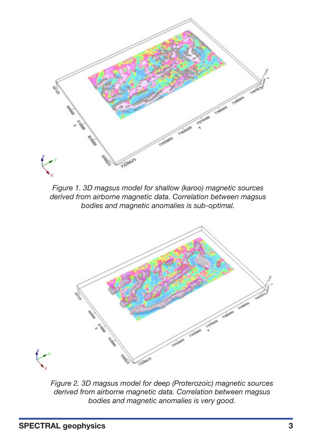

*Figure 1. 3D magsus model for shallow (karoo) magnetic sources derived from airborne magnetic data. Correlation between magsus bodies and magnetic anomalies is sub-optimal.*



*Figure 2. 3D magsus model for deep (Proterozoic) magnetic sources derived from airborne magnetic data. Correlation between magsus bodies and magnetic anomalies is very good.*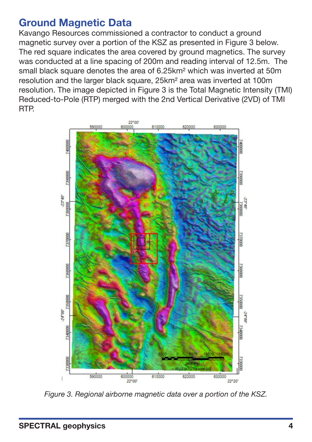### Ground Magnetic Data

Kavango Resources commissioned a contractor to conduct a ground magnetic survey over a portion of the KSZ as presented in Figure 3 below. The red square indicates the area covered by ground magnetics. The survey was conducted at a line spacing of 200m and reading interval of 12.5m. The small black square denotes the area of 6.25km² which was inverted at 50m resolution and the larger black square, 25km² area was inverted at 100m resolution. The image depicted in Figure 3 is the Total Magnetic Intensity (TMI) Reduced-to-Pole (RTP) merged with the 2nd Vertical Derivative (2VD) of TMI RTP.



*Figure 3. Regional airborne magnetic data over a portion of the KSZ.*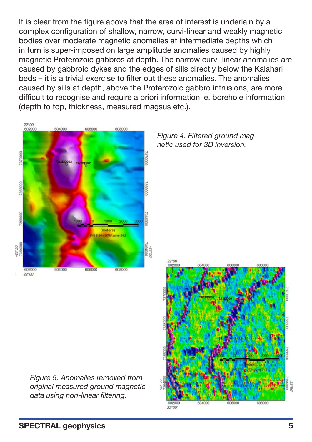It is clear from the figure above that the area of interest is underlain by a complex configuration of shallow, narrow, curvi-linear and weakly magnetic bodies over moderate magnetic anomalies at intermediate depths which in turn is super-imposed on large amplitude anomalies caused by highly magnetic Proterozoic gabbros at depth. The narrow curvi-linear anomalies are caused by gabbroic dykes and the edges of sills directly below the Kalahari beds – it is a trivial exercise to filter out these anomalies. The anomalies caused by sills at depth, above the Proterozoic gabbro intrusions, are more difficult to recognise and require a priori information ie. borehole information (depth to top, thickness, measured magsus etc.).



*Figure 4. Filtered ground magnetic used for 3D inversion.*



*Figure 5. Anomalies removed from original measured ground magnetic data using non-linear filtering.*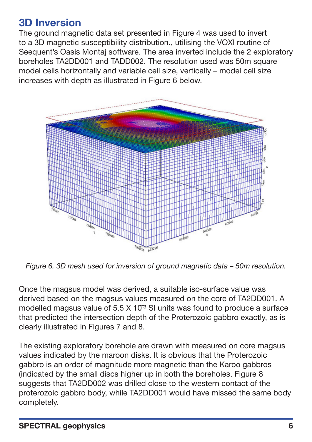# 3D Inversion

The ground magnetic data set presented in Figure 4 was used to invert to a 3D magnetic susceptibility distribution., utilising the VOXI routine of Seequent's Oasis Montaj software. The area inverted include the 2 exploratory boreholes TA2DD001 and TADD002. The resolution used was 50m square model cells horizontally and variable cell size, vertically – model cell size increases with depth as illustrated in Figure 6 below.



*Figure 6. 3D mesh used for inversion of ground magnetic data – 50m resolution.*

Once the magsus model was derived, a suitable iso-surface value was derived based on the magsus values measured on the core of TA2DD001. A modelled magsus value of  $5.5 \times 10^{-3}$  SI units was found to produce a surface that predicted the intersection depth of the Proterozoic gabbro exactly, as is clearly illustrated in Figures 7 and 8.

The existing exploratory borehole are drawn with measured on core magsus values indicated by the maroon disks. It is obvious that the Proterozoic gabbro is an order of magnitude more magnetic than the Karoo gabbros (indicated by the small discs higher up in both the boreholes. Figure 8 suggests that TA2DD002 was drilled close to the western contact of the proterozoic gabbro body, while TA2DD001 would have missed the same body completely.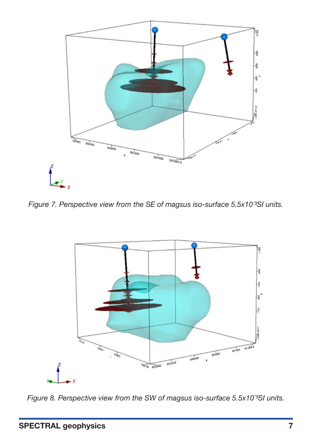

*Figure 7. Perspective view from the SE of magsus iso-surface 5.5x10<sup>3</sup>SI units.* 



*Figure 8. Perspective view from the SW of magsus iso-surface 5.5x10<sup>3</sup>SI units.*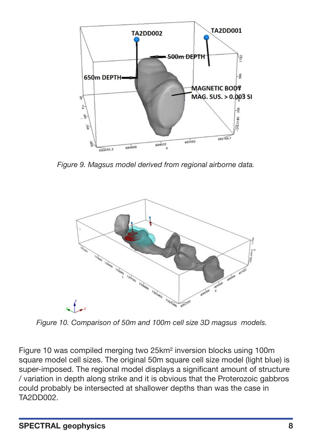

*Figure 9. Magsus model derived from regional airborne data.*



*Figure 10. Comparison of 50m and 100m cell size 3D magsus models.*

Figure 10 was compiled merging two 25km² inversion blocks using 100m square model cell sizes. The original 50m square cell size model (light blue) is super-imposed. The regional model displays a significant amount of structure / variation in depth along strike and it is obvious that the Proterozoic gabbros could probably be intersected at shallower depths than was the case in TA2DD002.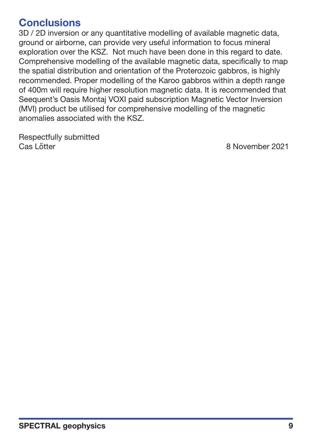### **Conclusions**

3D / 2D inversion or any quantitative modelling of available magnetic data, ground or airborne, can provide very useful information to focus mineral exploration over the KSZ. Not much have been done in this regard to date. Comprehensive modelling of the available magnetic data, specifically to map the spatial distribution and orientation of the Proterozoic gabbros, is highly recommended. Proper modelling of the Karoo gabbros within a depth range of 400m will require higher resolution magnetic data. It is recommended that Seequent's Oasis Montaj VOXI paid subscription Magnetic Vector Inversion (MVI) product be utilised for comprehensive modelling of the magnetic anomalies associated with the KSZ.

Respectfully submitted Cas Lötter **8 November 2021**